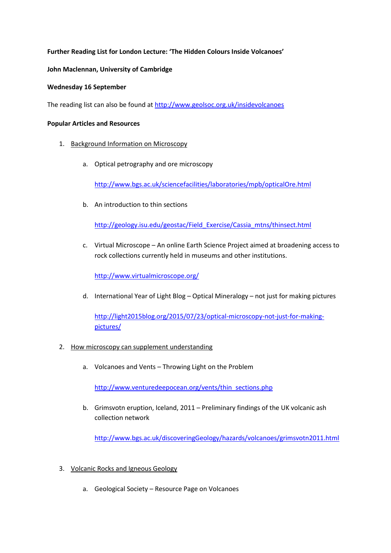## **Further Reading List for London Lecture: 'The Hidden Colours Inside Volcanoes'**

## **John Maclennan, University of Cambridge**

## **Wednesday 16 September**

The reading list can also be found a[t http://www.geolsoc.org.uk/insidevolcanoes](http://www.geolsoc.org.uk/insidevolcanoes)

## **Popular Articles and Resources**

- 1. Background Information on Microscopy
	- a. Optical petrography and ore microscopy

<http://www.bgs.ac.uk/sciencefacilities/laboratories/mpb/opticalOre.html>

b. An introduction to thin sections

[http://geology.isu.edu/geostac/Field\\_Exercise/Cassia\\_mtns/thinsect.html](http://geology.isu.edu/geostac/Field_Exercise/Cassia_mtns/thinsect.html)

c. Virtual Microscope – An online Earth Science Project aimed at broadening access to rock collections currently held in museums and other institutions.

<http://www.virtualmicroscope.org/>

d. International Year of Light Blog – Optical Mineralogy – not just for making pictures

[http://light2015blog.org/2015/07/23/optical-microscopy-not-just-for-making](http://light2015blog.org/2015/07/23/optical-microscopy-not-just-for-making-pictures/)[pictures/](http://light2015blog.org/2015/07/23/optical-microscopy-not-just-for-making-pictures/)

- 2. How microscopy can supplement understanding
	- a. Volcanoes and Vents Throwing Light on the Problem

[http://www.venturedeepocean.org/vents/thin\\_sections.php](http://www.venturedeepocean.org/vents/thin_sections.php)

b. Grimsvotn eruption, Iceland, 2011 – Preliminary findings of the UK volcanic ash collection network

<http://www.bgs.ac.uk/discoveringGeology/hazards/volcanoes/grimsvotn2011.html>

- 3. Volcanic Rocks and Igneous Geology
	- a. Geological Society Resource Page on Volcanoes